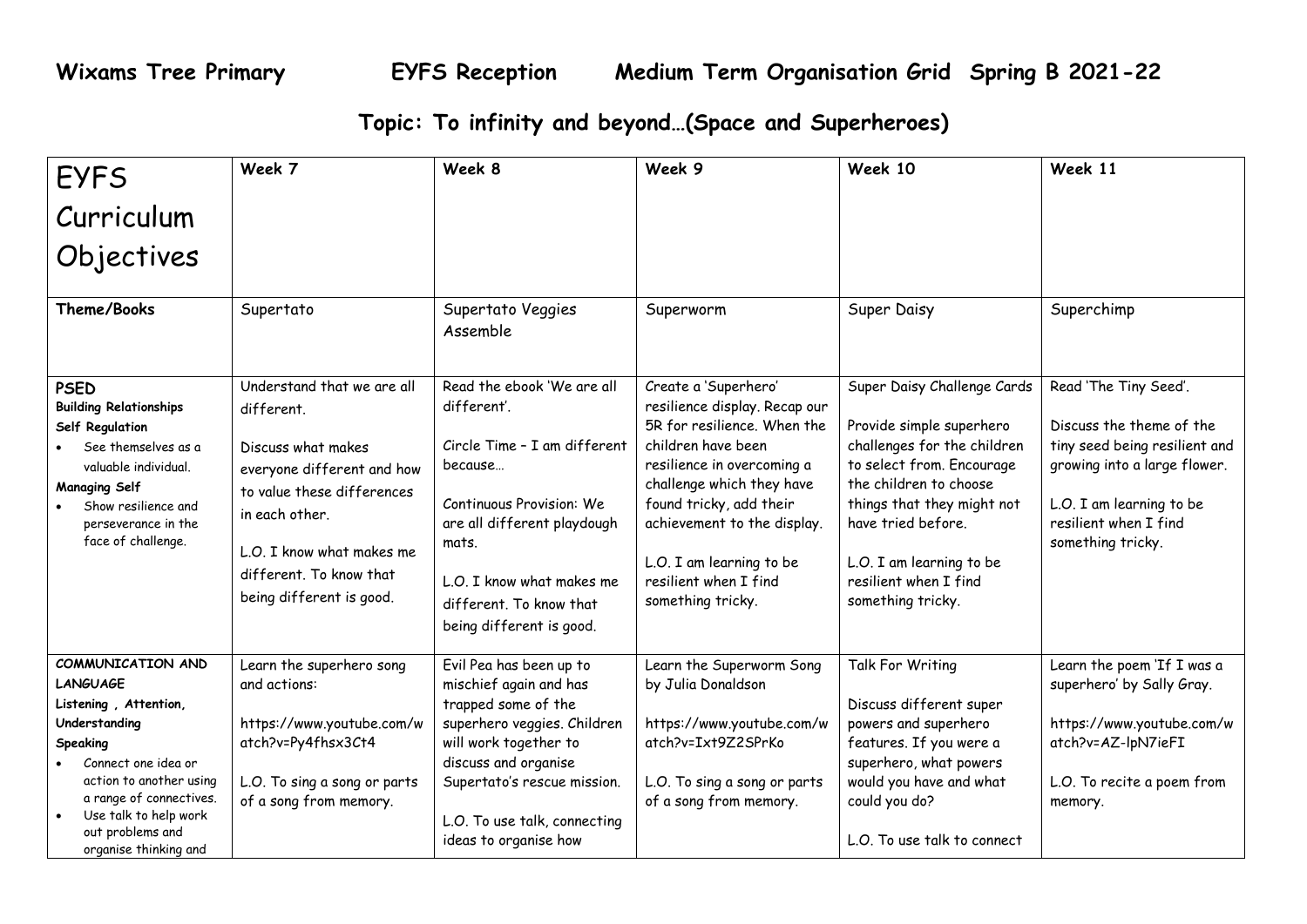## **Topic: To infinity and beyond…(Space and Superheroes)**

| <b>EYFS</b>                                                                                                                                                                                                                                   | Week 7                                                                                                                                                                                                                           | Week 8                                                                                                                                                                                                                                           | Week 9                                                                                                                                                                                                                                                                                                    | Week 10                                                                                                                                                                                                                                                                     | Week 11                                                                                                                                                                                      |
|-----------------------------------------------------------------------------------------------------------------------------------------------------------------------------------------------------------------------------------------------|----------------------------------------------------------------------------------------------------------------------------------------------------------------------------------------------------------------------------------|--------------------------------------------------------------------------------------------------------------------------------------------------------------------------------------------------------------------------------------------------|-----------------------------------------------------------------------------------------------------------------------------------------------------------------------------------------------------------------------------------------------------------------------------------------------------------|-----------------------------------------------------------------------------------------------------------------------------------------------------------------------------------------------------------------------------------------------------------------------------|----------------------------------------------------------------------------------------------------------------------------------------------------------------------------------------------|
| Curriculum                                                                                                                                                                                                                                    |                                                                                                                                                                                                                                  |                                                                                                                                                                                                                                                  |                                                                                                                                                                                                                                                                                                           |                                                                                                                                                                                                                                                                             |                                                                                                                                                                                              |
| Objectives                                                                                                                                                                                                                                    |                                                                                                                                                                                                                                  |                                                                                                                                                                                                                                                  |                                                                                                                                                                                                                                                                                                           |                                                                                                                                                                                                                                                                             |                                                                                                                                                                                              |
| <b>Theme/Books</b>                                                                                                                                                                                                                            | Supertato                                                                                                                                                                                                                        | Supertato Veggies<br>Assemble                                                                                                                                                                                                                    | Superworm                                                                                                                                                                                                                                                                                                 | Super Daisy                                                                                                                                                                                                                                                                 | Superchimp                                                                                                                                                                                   |
| <b>PSED</b><br><b>Building Relationships</b><br>Self Regulation<br>See themselves as a<br>valuable individual.<br><b>Managing Self</b><br>Show resilience and<br>perseverance in the<br>face of challenge.                                    | Understand that we are all<br>different.<br>Discuss what makes<br>everyone different and how<br>to value these differences<br>in each other.<br>L.O. I know what makes me<br>different. To know that<br>being different is good. | Read the ebook 'We are all<br>different'.<br>Circle Time - I am different<br>because<br>Continuous Provision: We<br>are all different playdough<br>mats.<br>L.O. I know what makes me<br>different. To know that<br>being different is good.     | Create a 'Superhero'<br>resilience display. Recap our<br>5R for resilience. When the<br>children have been<br>resilience in overcoming a<br>challenge which they have<br>found tricky, add their<br>achievement to the display.<br>L.O. I am learning to be<br>resilient when I find<br>something tricky. | Super Daisy Challenge Cards<br>Provide simple superhero<br>challenges for the children<br>to select from. Encourage<br>the children to choose<br>things that they might not<br>have tried before.<br>L.O. I am learning to be<br>resilient when I find<br>something tricky. | Read 'The Tiny Seed'.<br>Discuss the theme of the<br>tiny seed being resilient and<br>growing into a large flower.<br>L.O. I am learning to be<br>resilient when I find<br>something tricky. |
| COMMUNICATION AND<br><b>LANGUAGE</b><br>Listening, Attention,<br>Understanding<br>Speaking<br>Connect one idea or<br>action to another using<br>a range of connectives.<br>Use talk to help work<br>out problems and<br>organise thinking and | Learn the superhero song<br>and actions:<br>https://www.youtube.com/w<br>atch?v=Py4fhsx3Ct4<br>L.O. To sing a song or parts<br>of a song from memory.                                                                            | Evil Pea has been up to<br>mischief again and has<br>trapped some of the<br>superhero veggies. Children<br>will work together to<br>discuss and organise<br>Supertato's rescue mission.<br>L.O. To use talk, connecting<br>ideas to organise how | Learn the Superworm Song<br>by Julia Donaldson<br>https://www.youtube.com/w<br>atch?v=Ixt9Z2SPrKo<br>L.O. To sing a song or parts<br>of a song from memory.                                                                                                                                               | Talk For Writing<br>Discuss different super<br>powers and superhero<br>features. If you were a<br>superhero, what powers<br>would you have and what<br>could you do?<br>L.O. To use talk to connect                                                                         | Learn the poem 'If I was a<br>superhero' by Sally Gray.<br>https://www.youtube.com/w<br>atch?v=AZ-lpN7ieFI<br>L.O. To recite a poem from<br>memory.                                          |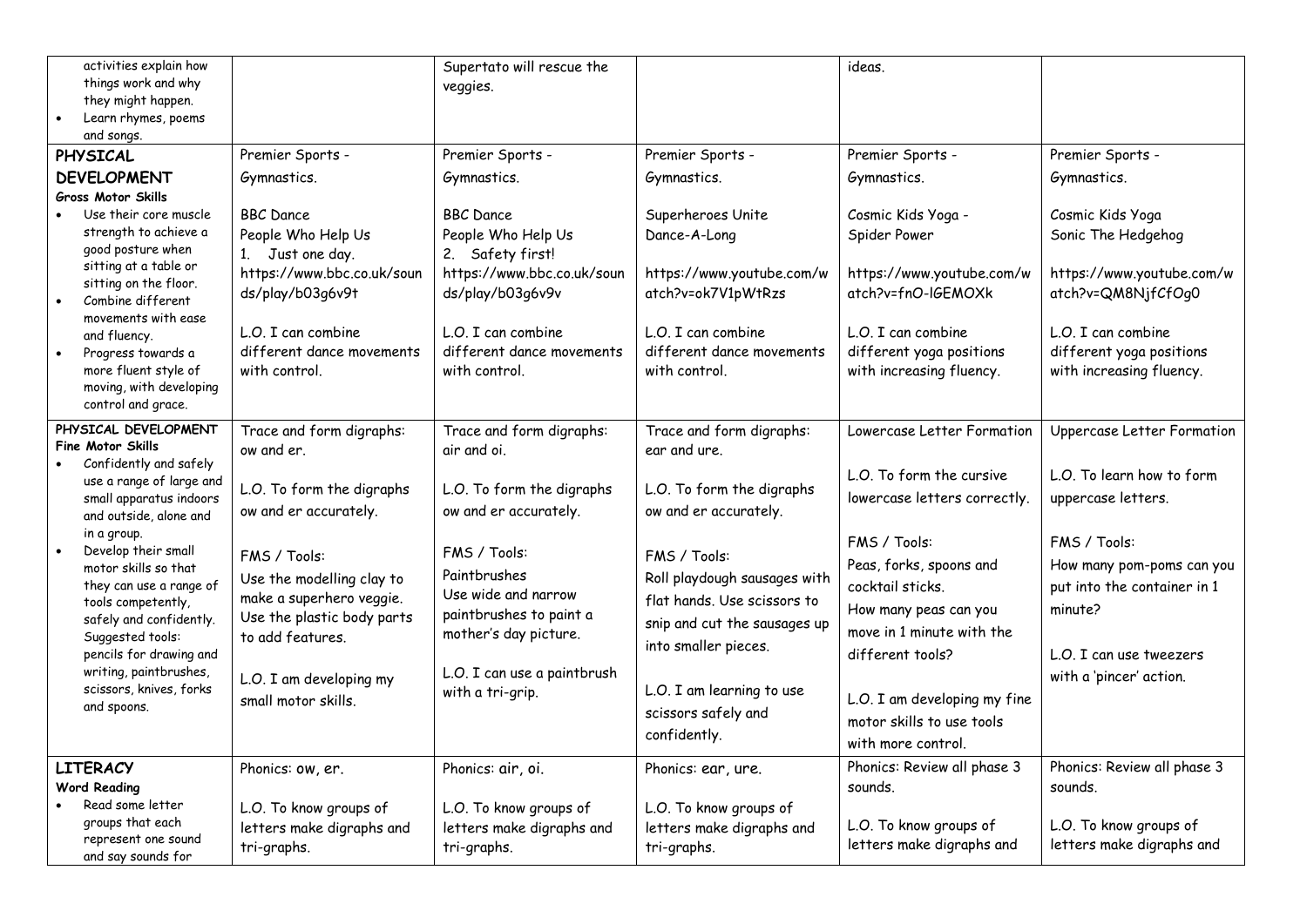| activities explain how<br>things work and why<br>they might happen.<br>Learn rhymes, poems<br>and songs.                                                                                                                                                                                                                                                                                                                 |                                                                                                                                                                                                                                                                           | Supertato will rescue the<br>veggies.                                                                                                                                                                                                                       |                                                                                                                                                                                                                                                                                                           | ideas.                                                                                                                                                                                                                                                                                                             |                                                                                                                                                                                                                            |
|--------------------------------------------------------------------------------------------------------------------------------------------------------------------------------------------------------------------------------------------------------------------------------------------------------------------------------------------------------------------------------------------------------------------------|---------------------------------------------------------------------------------------------------------------------------------------------------------------------------------------------------------------------------------------------------------------------------|-------------------------------------------------------------------------------------------------------------------------------------------------------------------------------------------------------------------------------------------------------------|-----------------------------------------------------------------------------------------------------------------------------------------------------------------------------------------------------------------------------------------------------------------------------------------------------------|--------------------------------------------------------------------------------------------------------------------------------------------------------------------------------------------------------------------------------------------------------------------------------------------------------------------|----------------------------------------------------------------------------------------------------------------------------------------------------------------------------------------------------------------------------|
| <b>PHYSICAL</b>                                                                                                                                                                                                                                                                                                                                                                                                          | Premier Sports -                                                                                                                                                                                                                                                          | Premier Sports -                                                                                                                                                                                                                                            | Premier Sports -                                                                                                                                                                                                                                                                                          | Premier Sports -                                                                                                                                                                                                                                                                                                   | Premier Sports -                                                                                                                                                                                                           |
| <b>DEVELOPMENT</b>                                                                                                                                                                                                                                                                                                                                                                                                       | Gymnastics.                                                                                                                                                                                                                                                               | Gymnastics.                                                                                                                                                                                                                                                 | Gymnastics.                                                                                                                                                                                                                                                                                               | Gymnastics.                                                                                                                                                                                                                                                                                                        | Gymnastics.                                                                                                                                                                                                                |
| <b>Gross Motor Skills</b>                                                                                                                                                                                                                                                                                                                                                                                                |                                                                                                                                                                                                                                                                           |                                                                                                                                                                                                                                                             |                                                                                                                                                                                                                                                                                                           |                                                                                                                                                                                                                                                                                                                    |                                                                                                                                                                                                                            |
| Use their core muscle<br>strength to achieve a<br>good posture when<br>sitting at a table or<br>sitting on the floor.<br>Combine different<br>movements with ease<br>and fluency.<br>Progress towards a<br>more fluent style of<br>moving, with developing<br>control and grace.                                                                                                                                         | <b>BBC</b> Dance<br>People Who Help Us<br>1. Just one day.<br>https://www.bbc.co.uk/soun<br>ds/play/b03q6v9t<br>L.O. I can combine<br>different dance movements<br>with control.                                                                                          | <b>BBC</b> Dance<br>People Who Help Us<br>2. Safety first!<br>https://www.bbc.co.uk/soun<br>ds/play/b03g6v9v<br>L.O. I can combine<br>different dance movements<br>with control.                                                                            | Superheroes Unite<br>Dance-A-Long<br>https://www.youtube.com/w<br>atch?v=ok7V1pWtRzs<br>L.O. I can combine<br>different dance movements<br>with control.                                                                                                                                                  | Cosmic Kids Yoga -<br>Spider Power<br>https://www.youtube.com/w<br>atch?v=fnO-IGEMOXk<br>L.O. I can combine<br>different yoga positions<br>with increasing fluency.                                                                                                                                                | Cosmic Kids Yoga<br>Sonic The Hedgehog<br>https://www.youtube.com/w<br>atch?v=QM8NjfCfOg0<br>L.O. I can combine<br>different yoga positions<br>with increasing fluency.                                                    |
| PHYSICAL DEVELOPMENT<br><b>Fine Motor Skills</b><br>Confidently and safely<br>use a range of large and<br>small apparatus indoors<br>and outside, alone and<br>in a group.<br>Develop their small<br>motor skills so that<br>they can use a range of<br>tools competently,<br>safely and confidently.<br>Suggested tools:<br>pencils for drawing and<br>writing, paintbrushes,<br>scissors, knives, forks<br>and spoons. | Trace and form digraphs:<br>ow and er.<br>L.O. To form the digraphs<br>ow and er accurately.<br>FMS / Tools:<br>Use the modelling clay to<br>make a superhero veggie.<br>Use the plastic body parts<br>to add features.<br>L.O. I am developing my<br>small motor skills. | Trace and form digraphs:<br>air and oi.<br>L.O. To form the digraphs<br>ow and er accurately.<br>FMS / Tools:<br>Paintbrushes<br>Use wide and narrow<br>paintbrushes to paint a<br>mother's day picture.<br>L.O. I can use a paintbrush<br>with a tri-grip. | Trace and form digraphs:<br>ear and ure.<br>L.O. To form the digraphs<br>ow and er accurately.<br>FMS / Tools:<br>Roll playdough sausages with<br>flat hands. Use scissors to<br>snip and cut the sausages up<br>into smaller pieces.<br>L.O. I am learning to use<br>scissors safely and<br>confidently. | Lowercase Letter Formation<br>L.O. To form the cursive<br>lowercase letters correctly.<br>FMS / Tools:<br>Peas, forks, spoons and<br>cocktail sticks.<br>How many peas can you<br>move in 1 minute with the<br>different tools?<br>L.O. I am developing my fine<br>motor skills to use tools<br>with more control. | Uppercase Letter Formation<br>L.O. To learn how to form<br>uppercase letters.<br>FMS / Tools:<br>How many pom-poms can you<br>put into the container in 1<br>minute?<br>L.O. I can use tweezers<br>with a 'pincer' action. |
| <b>LITERACY</b><br><b>Word Reading</b>                                                                                                                                                                                                                                                                                                                                                                                   | Phonics: ow, er.                                                                                                                                                                                                                                                          | Phonics: air, oi.                                                                                                                                                                                                                                           | Phonics: ear, ure.                                                                                                                                                                                                                                                                                        | Phonics: Review all phase 3<br>sounds.                                                                                                                                                                                                                                                                             | Phonics: Review all phase 3<br>sounds.                                                                                                                                                                                     |
| Read some letter<br>groups that each<br>represent one sound<br>and say sounds for                                                                                                                                                                                                                                                                                                                                        | L.O. To know groups of<br>letters make digraphs and<br>tri-graphs.                                                                                                                                                                                                        | L.O. To know groups of<br>letters make digraphs and<br>tri-graphs.                                                                                                                                                                                          | L.O. To know groups of<br>letters make digraphs and<br>tri-graphs.                                                                                                                                                                                                                                        | L.O. To know groups of<br>letters make digraphs and                                                                                                                                                                                                                                                                | L.O. To know groups of<br>letters make digraphs and                                                                                                                                                                        |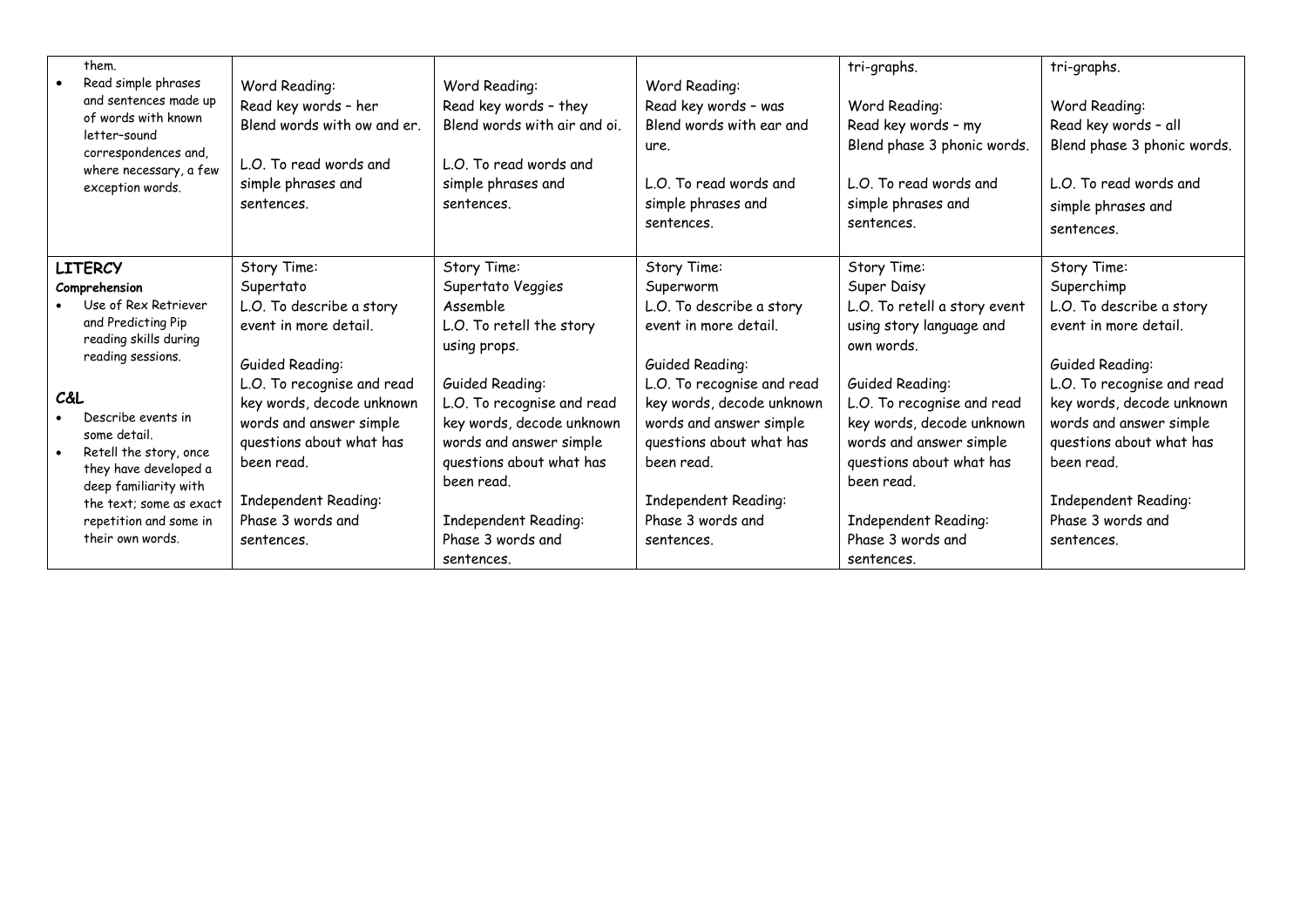| them.<br>Read simple phrases<br>and sentences made up<br>of words with known<br>letter-sound<br>correspondences and,<br>where necessary, a few<br>exception words.                                                                                                                                                            | Word Reading:<br>Read key words - her<br>Blend words with ow and er.<br>L.O. To read words and<br>simple phrases and<br>sentences.                                                                                                                                                          | Word Reading:<br>Read key words - they<br>Blend words with air and oi.<br>L.O. To read words and<br>simple phrases and<br>sentences.                                                                                                                                                                   | Word Reading:<br>Read key words - was<br>Blend words with ear and<br>ure.<br>L.O. To read words and<br>simple phrases and<br>sentences.                                                                                                                                                     | tri-graphs.<br>Word Reading:<br>Read key words - my<br>Blend phase 3 phonic words.<br>L.O. To read words and<br>simple phrases and<br>sentences.                                                                                                                                                                   | tri-graphs.<br>Word Reading:<br>Read key words - all<br>Blend phase 3 phonic words.<br>L.O. To read words and<br>simple phrases and<br>sentences.                                                                                                                                            |
|-------------------------------------------------------------------------------------------------------------------------------------------------------------------------------------------------------------------------------------------------------------------------------------------------------------------------------|---------------------------------------------------------------------------------------------------------------------------------------------------------------------------------------------------------------------------------------------------------------------------------------------|--------------------------------------------------------------------------------------------------------------------------------------------------------------------------------------------------------------------------------------------------------------------------------------------------------|---------------------------------------------------------------------------------------------------------------------------------------------------------------------------------------------------------------------------------------------------------------------------------------------|--------------------------------------------------------------------------------------------------------------------------------------------------------------------------------------------------------------------------------------------------------------------------------------------------------------------|----------------------------------------------------------------------------------------------------------------------------------------------------------------------------------------------------------------------------------------------------------------------------------------------|
| <b>LITERCY</b><br>Comprehension<br>Use of Rex Retriever<br>and Predicting Pip<br>reading skills during<br>reading sessions.<br>C&L<br>Describe events in<br>some detail.<br>Retell the story, once<br>they have developed a<br>deep familiarity with<br>the text; some as exact<br>repetition and some in<br>their own words. | Story Time:<br>Supertato<br>L.O. To describe a story<br>event in more detail.<br>Guided Reading:<br>L.O. To recognise and read<br>key words, decode unknown<br>words and answer simple<br>questions about what has<br>been read.<br>Independent Reading:<br>Phase 3 words and<br>sentences. | Story Time:<br>Supertato Veggies<br>Assemble<br>L.O. To retell the story<br>using props.<br>Guided Reading:<br>L.O. To recognise and read<br>key words, decode unknown<br>words and answer simple<br>questions about what has<br>been read.<br>Independent Reading:<br>Phase 3 words and<br>sentences. | Story Time:<br>Superworm<br>L.O. To describe a story<br>event in more detail.<br>Guided Reading:<br>L.O. To recognise and read<br>key words, decode unknown<br>words and answer simple<br>questions about what has<br>been read.<br>Independent Reading:<br>Phase 3 words and<br>sentences. | Story Time:<br>Super Daisy<br>L.O. To retell a story event<br>using story language and<br>own words.<br>Guided Reading:<br>L.O. To recognise and read<br>key words, decode unknown<br>words and answer simple<br>questions about what has<br>been read.<br>Independent Reading:<br>Phase 3 words and<br>sentences. | Story Time:<br>Superchimp<br>L.O. To describe a story<br>event in more detail.<br>Guided Reading:<br>L.O. To recognise and read<br>key words, decode unknown<br>words and answer simple<br>questions about what has<br>been read.<br>Independent Reading:<br>Phase 3 words and<br>sentences. |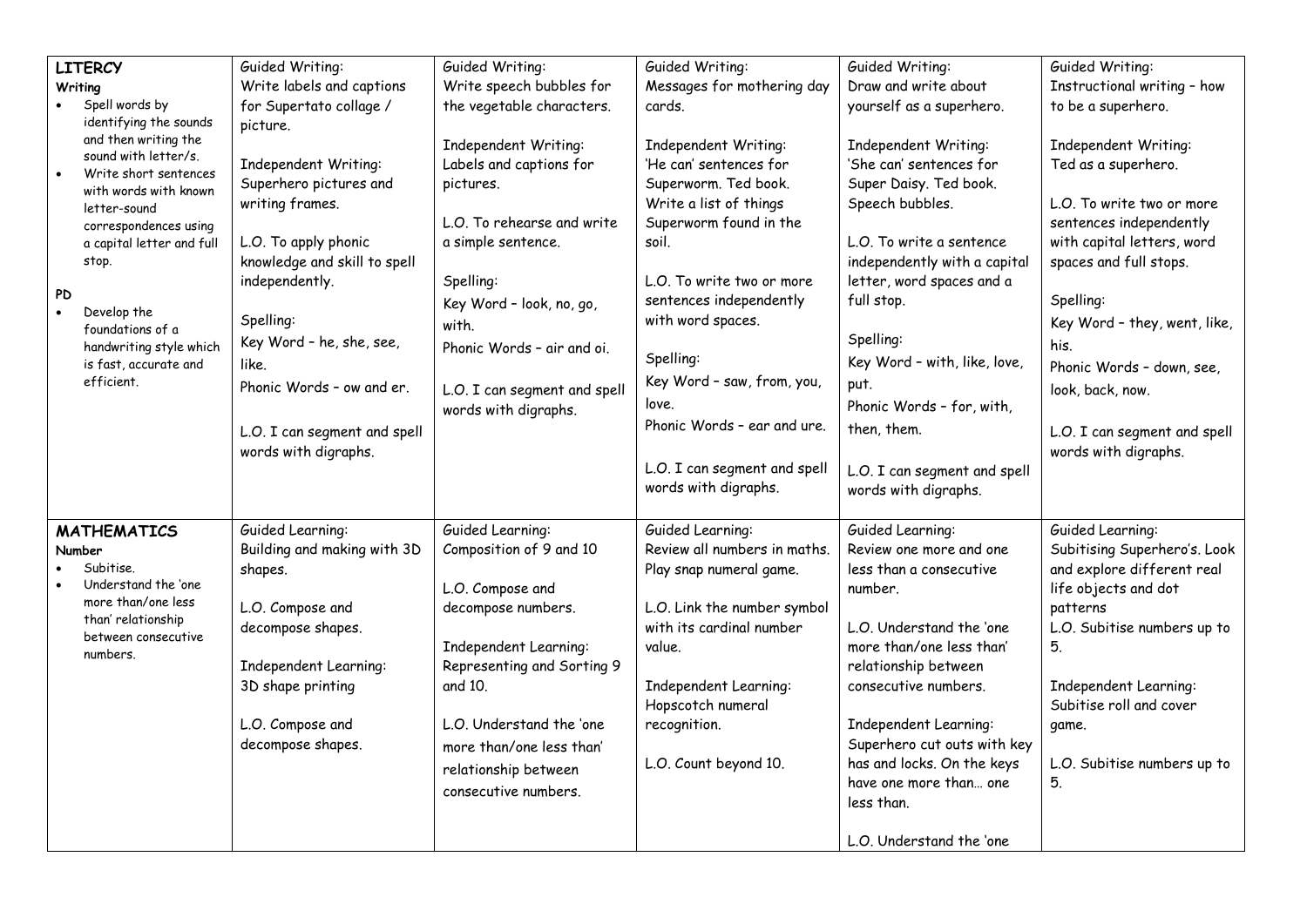|           | <b>LITERCY</b>                                | Guided Writing:              | Guided Writing:              | Guided Writing:              | Guided Writing:              | Guided Writing:              |
|-----------|-----------------------------------------------|------------------------------|------------------------------|------------------------------|------------------------------|------------------------------|
|           | Writing                                       | Write labels and captions    | Write speech bubbles for     | Messages for mothering day   | Draw and write about         | Instructional writing - how  |
|           | Spell words by                                | for Supertato collage /      | the vegetable characters.    | cards.                       | yourself as a superhero.     | to be a superhero.           |
|           | identifying the sounds                        | picture.                     |                              |                              |                              |                              |
|           | and then writing the                          |                              | Independent Writing:         | Independent Writing:         | Independent Writing:         | Independent Writing:         |
| $\bullet$ | sound with letter/s.<br>Write short sentences | Independent Writing:         | Labels and captions for      | 'He can' sentences for       | 'She can' sentences for      | Ted as a superhero.          |
|           | with words with known                         | Superhero pictures and       | pictures.                    | Superworm. Ted book.         | Super Daisy. Ted book.       |                              |
|           | letter-sound                                  | writing frames.              |                              | Write a list of things       | Speech bubbles.              | L.O. To write two or more    |
|           | correspondences using                         |                              | L.O. To rehearse and write   | Superworm found in the       |                              | sentences independently      |
|           | a capital letter and full                     | L.O. To apply phonic         | a simple sentence.           | soil.                        | L.O. To write a sentence     | with capital letters, word   |
|           | stop.                                         | knowledge and skill to spell |                              |                              | independently with a capital | spaces and full stops.       |
|           |                                               | independently.               | Spelling:                    | L.O. To write two or more    | letter, word spaces and a    |                              |
| <b>PD</b> | Develop the                                   |                              | Key Word - look, no, go,     | sentences independently      | full stop.                   | Spelling:                    |
|           | foundations of a                              | Spelling:                    | with.                        | with word spaces.            |                              | Key Word - they, went, like, |
|           | handwriting style which                       | Key Word - he, she, see,     | Phonic Words - air and oi.   |                              | Spelling:                    | his.                         |
|           | is fast, accurate and                         | like.                        |                              | Spelling:                    | Key Word - with, like, love, | Phonic Words - down, see,    |
|           | efficient.                                    | Phonic Words - ow and er.    | L.O. I can segment and spell | Key Word - saw, from, you,   | put.                         | look, back, now.             |
|           |                                               |                              | words with digraphs.         | love.                        | Phonic Words - for, with,    |                              |
|           |                                               | L.O. I can segment and spell |                              | Phonic Words - ear and ure.  | then, them.                  | L.O. I can segment and spell |
|           |                                               | words with digraphs.         |                              |                              |                              | words with digraphs.         |
|           |                                               |                              |                              | L.O. I can segment and spell | L.O. I can segment and spell |                              |
|           |                                               |                              |                              | words with digraphs.         | words with digraphs.         |                              |
|           |                                               |                              |                              |                              |                              |                              |
|           | <b>MATHEMATICS</b>                            | Guided Learning:             | Guided Learning:             | Guided Learning:             | Guided Learning:             | Guided Learning:             |
|           | Number                                        | Building and making with 3D  | Composition of 9 and 10      | Review all numbers in maths. | Review one more and one      | Subitising Superhero's. Look |
|           | Subitise.                                     | shapes.                      |                              | Play snap numeral game.      | less than a consecutive      | and explore different real   |
|           | Understand the 'one                           |                              | L.O. Compose and             |                              | number.                      | life objects and dot         |
|           | more than/one less                            | L.O. Compose and             | decompose numbers.           | L.O. Link the number symbol  |                              | patterns                     |
|           | than' relationship<br>between consecutive     | decompose shapes.            |                              | with its cardinal number     | L.O. Understand the 'one     | L.O. Subitise numbers up to  |
|           | numbers.                                      |                              | Independent Learning:        | value.                       | more than/one less than'     | 5.                           |
|           |                                               | Independent Learning:        | Representing and Sorting 9   |                              | relationship between         |                              |
|           |                                               | 3D shape printing            | and 10.                      | Independent Learning:        | consecutive numbers.         | Independent Learning:        |
|           |                                               |                              |                              | Hopscotch numeral            |                              | Subitise roll and cover      |
|           |                                               | L.O. Compose and             | L.O. Understand the 'one     | recognition.                 | Independent Learning:        | game.                        |
|           |                                               | decompose shapes.            | more than/one less than'     |                              | Superhero cut outs with key  |                              |
|           |                                               |                              | relationship between         | L.O. Count beyond 10.        | has and locks. On the keys   | L.O. Subitise numbers up to  |
|           |                                               |                              | consecutive numbers.         |                              | have one more than one       | 5.                           |
|           |                                               |                              |                              |                              | less than.                   |                              |
|           |                                               |                              |                              |                              | L.O. Understand the 'one     |                              |
|           |                                               |                              |                              |                              |                              |                              |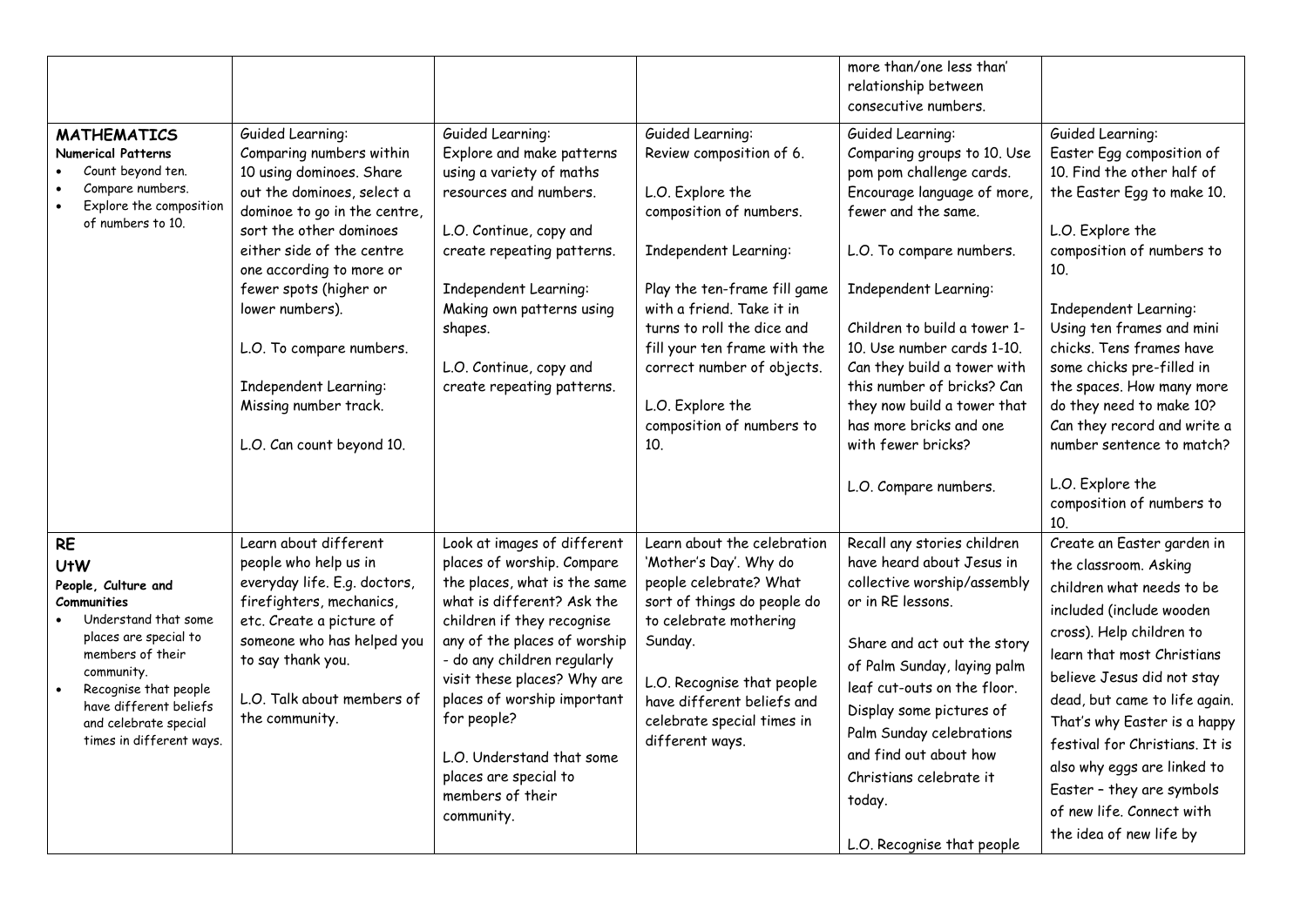|                                                                                                                                                                                                                                                                       |                                                                                                                                                                                                                                                                                                                                                                                    |                                                                                                                                                                                                                                                                                                                                                                                           |                                                                                                                                                                                                                                                                                                                                                   | more than/one less than'<br>relationship between<br>consecutive numbers.                                                                                                                                                                                                                                                                                                                          |                                                                                                                                                                                                                                                                                                                                                                                                                             |
|-----------------------------------------------------------------------------------------------------------------------------------------------------------------------------------------------------------------------------------------------------------------------|------------------------------------------------------------------------------------------------------------------------------------------------------------------------------------------------------------------------------------------------------------------------------------------------------------------------------------------------------------------------------------|-------------------------------------------------------------------------------------------------------------------------------------------------------------------------------------------------------------------------------------------------------------------------------------------------------------------------------------------------------------------------------------------|---------------------------------------------------------------------------------------------------------------------------------------------------------------------------------------------------------------------------------------------------------------------------------------------------------------------------------------------------|---------------------------------------------------------------------------------------------------------------------------------------------------------------------------------------------------------------------------------------------------------------------------------------------------------------------------------------------------------------------------------------------------|-----------------------------------------------------------------------------------------------------------------------------------------------------------------------------------------------------------------------------------------------------------------------------------------------------------------------------------------------------------------------------------------------------------------------------|
| <b>MATHEMATICS</b><br><b>Numerical Patterns</b><br>Count beyond ten.<br>Compare numbers.<br>Explore the composition<br>of numbers to 10.                                                                                                                              | Guided Learning:<br>Comparing numbers within<br>10 using dominoes. Share<br>out the dominoes, select a<br>dominoe to go in the centre,<br>sort the other dominoes<br>either side of the centre<br>one according to more or<br>fewer spots (higher or<br>lower numbers).<br>L.O. To compare numbers.<br>Independent Learning:<br>Missing number track.<br>L.O. Can count beyond 10. | Guided Learning:<br>Explore and make patterns<br>using a variety of maths<br>resources and numbers.<br>L.O. Continue, copy and<br>create repeating patterns.<br>Independent Learning:<br>Making own patterns using<br>shapes.<br>L.O. Continue, copy and<br>create repeating patterns.                                                                                                    | Guided Learning:<br>Review composition of 6.<br>L.O. Explore the<br>composition of numbers.<br>Independent Learning:<br>Play the ten-frame fill game<br>with a friend. Take it in<br>turns to roll the dice and<br>fill your ten frame with the<br>correct number of objects.<br>L.O. Explore the<br>composition of numbers to<br>10 <sub>1</sub> | Guided Learning:<br>Comparing groups to 10. Use<br>pom pom challenge cards.<br>Encourage language of more,<br>fewer and the same.<br>L.O. To compare numbers.<br>Independent Learning:<br>Children to build a tower 1-<br>10. Use number cards 1-10.<br>Can they build a tower with<br>this number of bricks? Can<br>they now build a tower that<br>has more bricks and one<br>with fewer bricks? | Guided Learning:<br>Easter Egg composition of<br>10. Find the other half of<br>the Easter Egg to make 10.<br>L.O. Explore the<br>composition of numbers to<br>10.<br>Independent Learning:<br>Using ten frames and mini<br>chicks. Tens frames have<br>some chicks pre-filled in<br>the spaces. How many more<br>do they need to make 10?<br>Can they record and write a<br>number sentence to match?                       |
|                                                                                                                                                                                                                                                                       |                                                                                                                                                                                                                                                                                                                                                                                    |                                                                                                                                                                                                                                                                                                                                                                                           |                                                                                                                                                                                                                                                                                                                                                   | L.O. Compare numbers.                                                                                                                                                                                                                                                                                                                                                                             | L.O. Explore the<br>composition of numbers to<br>10.                                                                                                                                                                                                                                                                                                                                                                        |
| <b>RE</b><br><b>UtW</b><br>People, Culture and<br>Communities<br>Understand that some<br>places are special to<br>members of their<br>community.<br>Recognise that people<br>$\bullet$<br>have different beliefs<br>and celebrate special<br>times in different ways. | Learn about different<br>people who help us in<br>everyday life. E.g. doctors,<br>firefighters, mechanics,<br>etc. Create a picture of<br>someone who has helped you<br>to say thank you.<br>L.O. Talk about members of<br>the community.                                                                                                                                          | Look at images of different<br>places of worship. Compare<br>the places, what is the same<br>what is different? Ask the<br>children if they recognise<br>any of the places of worship<br>- do any children regularly<br>visit these places? Why are<br>places of worship important<br>for people?<br>L.O. Understand that some<br>places are special to<br>members of their<br>community. | Learn about the celebration<br>'Mother's Day'. Why do<br>people celebrate? What<br>sort of things do people do<br>to celebrate mothering<br>Sunday.<br>L.O. Recognise that people<br>have different beliefs and<br>celebrate special times in<br>different ways.                                                                                  | Recall any stories children<br>have heard about Jesus in<br>collective worship/assembly<br>or in RE lessons.<br>Share and act out the story<br>of Palm Sunday, laying palm<br>leaf cut-outs on the floor.<br>Display some pictures of<br>Palm Sunday celebrations<br>and find out about how<br>Christians celebrate it<br>today.<br>L.O. Recognise that people                                    | Create an Easter garden in<br>the classroom. Asking<br>children what needs to be<br>included (include wooden<br>cross). Help children to<br>learn that most Christians<br>believe Jesus did not stay<br>dead, but came to life again.<br>That's why Easter is a happy<br>festival for Christians. It is<br>also why eggs are linked to<br>Easter - they are symbols<br>of new life. Connect with<br>the idea of new life by |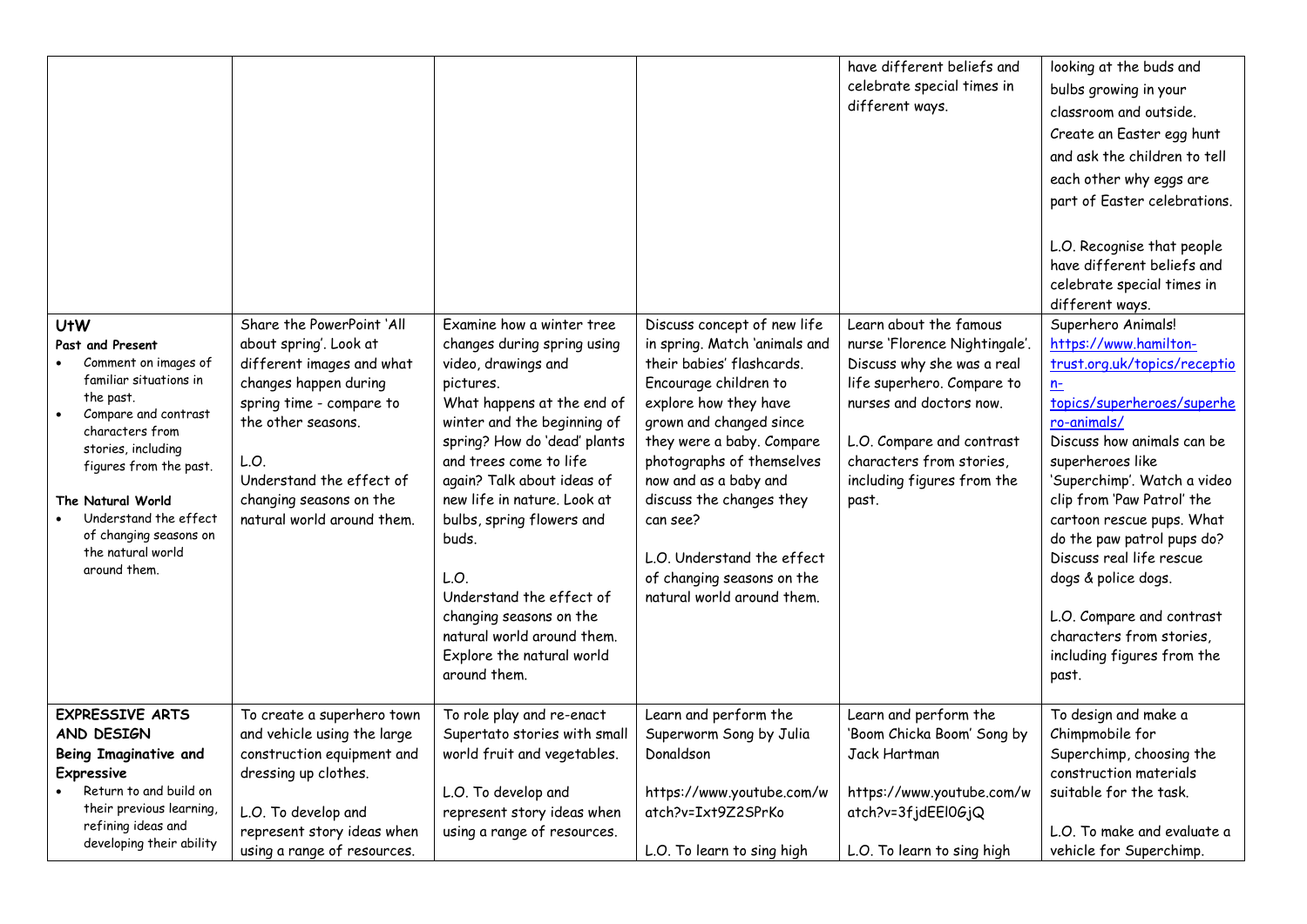| <b>UtW</b><br>Past and Present<br>Comment on images of<br>familiar situations in<br>the past.<br>Compare and contrast<br>$\bullet$<br>characters from<br>stories, including<br>figures from the past.<br>The Natural World<br>Understand the effect<br>of changing seasons on<br>the natural world<br>around them. | Share the PowerPoint 'All<br>about spring'. Look at<br>different images and what<br>changes happen during<br>spring time - compare to<br>the other seasons.<br>L.O.<br>Understand the effect of<br>changing seasons on the<br>natural world around them. | Examine how a winter tree<br>changes during spring using<br>video, drawings and<br>pictures.<br>What happens at the end of<br>winter and the beginning of<br>spring? How do 'dead' plants<br>and trees come to life<br>again? Talk about ideas of<br>new life in nature. Look at<br>bulbs, spring flowers and<br>buds.<br>L.O.<br>Understand the effect of<br>changing seasons on the<br>natural world around them.<br>Explore the natural world<br>around them. | Discuss concept of new life<br>in spring. Match 'animals and<br>their babies' flashcards.<br>Encourage children to<br>explore how they have<br>grown and changed since<br>they were a baby. Compare<br>photographs of themselves<br>now and as a baby and<br>discuss the changes they<br>can see?<br>L.O. Understand the effect<br>of changing seasons on the<br>natural world around them. | have different beliefs and<br>celebrate special times in<br>different ways.<br>Learn about the famous<br>nurse 'Florence Nightingale'<br>Discuss why she was a real<br>life superhero. Compare to<br>nurses and doctors now.<br>L.O. Compare and contrast<br>characters from stories,<br>including figures from the<br>past. | looking at the buds and<br>bulbs growing in your<br>classroom and outside.<br>Create an Easter egg hunt<br>and ask the children to tell<br>each other why eggs are<br>part of Easter celebrations.<br>L.O. Recognise that people<br>have different beliefs and<br>celebrate special times in<br>different ways.<br>Superhero Animals!<br>https://www.hamilton-<br>trust.org.uk/topics/receptio<br>$n-$<br>topics/superheroes/superhe<br>ro-animals/<br>Discuss how animals can be<br>superheroes like<br>'Superchimp'. Watch a video<br>clip from 'Paw Patrol' the<br>cartoon rescue pups. What<br>do the paw patrol pups do?<br>Discuss real life rescue<br>dogs & police dogs.<br>L.O. Compare and contrast<br>characters from stories,<br>including figures from the |
|--------------------------------------------------------------------------------------------------------------------------------------------------------------------------------------------------------------------------------------------------------------------------------------------------------------------|----------------------------------------------------------------------------------------------------------------------------------------------------------------------------------------------------------------------------------------------------------|------------------------------------------------------------------------------------------------------------------------------------------------------------------------------------------------------------------------------------------------------------------------------------------------------------------------------------------------------------------------------------------------------------------------------------------------------------------|---------------------------------------------------------------------------------------------------------------------------------------------------------------------------------------------------------------------------------------------------------------------------------------------------------------------------------------------------------------------------------------------|------------------------------------------------------------------------------------------------------------------------------------------------------------------------------------------------------------------------------------------------------------------------------------------------------------------------------|-------------------------------------------------------------------------------------------------------------------------------------------------------------------------------------------------------------------------------------------------------------------------------------------------------------------------------------------------------------------------------------------------------------------------------------------------------------------------------------------------------------------------------------------------------------------------------------------------------------------------------------------------------------------------------------------------------------------------------------------------------------------------|
|                                                                                                                                                                                                                                                                                                                    |                                                                                                                                                                                                                                                          |                                                                                                                                                                                                                                                                                                                                                                                                                                                                  |                                                                                                                                                                                                                                                                                                                                                                                             |                                                                                                                                                                                                                                                                                                                              | past.                                                                                                                                                                                                                                                                                                                                                                                                                                                                                                                                                                                                                                                                                                                                                                   |
| <b>EXPRESSIVE ARTS</b><br>AND DESIGN<br>Being Imaginative and<br>Expressive<br>Return to and build on<br>their previous learning,                                                                                                                                                                                  | To create a superhero town<br>and vehicle using the large<br>construction equipment and<br>dressing up clothes.<br>L.O. To develop and                                                                                                                   | To role play and re-enact<br>Supertato stories with small<br>world fruit and vegetables.<br>L.O. To develop and<br>represent story ideas when                                                                                                                                                                                                                                                                                                                    | Learn and perform the<br>Superworm Song by Julia<br>Donaldson<br>https://www.youtube.com/w<br>atch?v=Ixt9Z2SPrKo                                                                                                                                                                                                                                                                            | Learn and perform the<br>'Boom Chicka Boom' Song by<br>Jack Hartman<br>https://www.youtube.com/w<br>atch?v=3fjdEEl0GjQ                                                                                                                                                                                                       | To design and make a<br>Chimpmobile for<br>Superchimp, choosing the<br>construction materials<br>suitable for the task.                                                                                                                                                                                                                                                                                                                                                                                                                                                                                                                                                                                                                                                 |
| refining ideas and<br>developing their ability                                                                                                                                                                                                                                                                     | represent story ideas when<br>using a range of resources.                                                                                                                                                                                                | using a range of resources.                                                                                                                                                                                                                                                                                                                                                                                                                                      | L.O. To learn to sing high                                                                                                                                                                                                                                                                                                                                                                  | L.O. To learn to sing high                                                                                                                                                                                                                                                                                                   | L.O. To make and evaluate a<br>vehicle for Superchimp.                                                                                                                                                                                                                                                                                                                                                                                                                                                                                                                                                                                                                                                                                                                  |